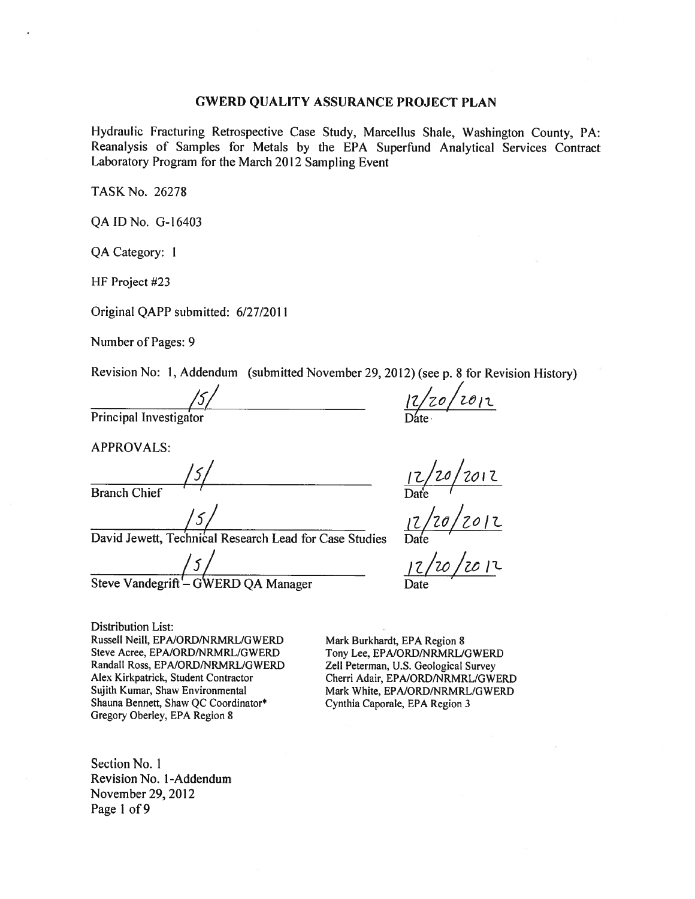#### **GWERD QUALITY ASSURANCE PROJECT PLAN**

Hydraulic Fracturing Retrospective Case Study, Marcellus Shale, Washington County, PA: Reanalysis of Samples for Metals by the EPA Superfund Analytical Services Contract Laboratory Program for the March 2012 Sampling Event

TASK No. 26278

QA ID No. G-16403

QA Category: 1

HF Project #23

Original QAPP submitted: 6/27/2011

Number of Pages: 9

Revision No: 1, Addendum (submitted November 29, 2012) (see p. 8 for Revision History)

/5,

Principal Investigate

**APPROVALS:** 

**Branch Chief** 

/5,

David Jewett, Technical Research Lead for Case Studies

 $^{\prime}$ 5 Steve Vandegrift - GWERD QA Manager

 $12/20/2012$ 

 $\frac{12/20/2012}{\text{Date}}$ <br> $\frac{12/20/2012}{\text{Date}}$ <br> $\frac{12/20/2012}{\text{Date}}$ 

**Distribution List:** Russell Neill, EPA/ORD/NRMRL/GWERD Steve Acree, EPA/ORD/NRMRL/GWERD Randall Ross, EPA/ORD/NRMRL/GWERD Alex Kirkpatrick, Student Contractor Sujith Kumar, Shaw Environmental Shauna Bennett, Shaw QC Coordinator\* Gregory Oberley, EPA Region 8

Mark Burkhardt, EPA Region 8 Tony Lee, EPA/ORD/NRMRL/GWERD Zell Peterman, U.S. Geological Survey Cherri Adair, EPA/ORD/NRMRL/GWERD Mark White, EPA/ORD/NRMRL/GWERD Cynthia Caporale, EPA Region 3

Section No. 1 Revision No. 1-Addendum November 29, 2012 Page 1 of 9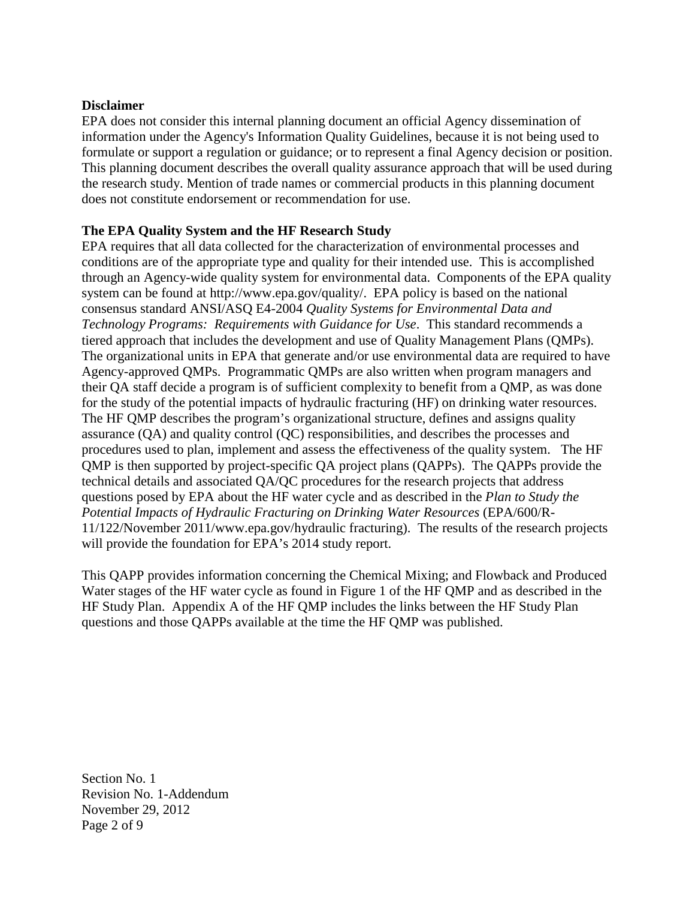#### **Disclaimer**

 EPA does not consider this internal planning document an official Agency dissemination of information under the Agency's Information Quality Guidelines, because it is not being used to formulate or support a regulation or guidance; or to represent a final Agency decision or position. This planning document describes the overall quality assurance approach that will be used during the research study. Mention of trade names or commercial products in this planning document does not constitute endorsement or recommendation for use.

## **The EPA Quality System and the HF Research Study**

 EPA requires that all data collected for the characterization of environmental processes and conditions are of the appropriate type and quality for their intended use. This is accomplished through an Agency-wide quality system for environmental data. Components of the EPA quality system can be found at [http://www.epa.gov/quality/. E](http://www.epa.gov/quality/)PA policy is based on the national consensus standard ANSI/ASQ E4-2004 *Quality Systems for Environmental Data and Technology Programs: Requirements with Guidance for Use*. This standard recommends a tiered approach that includes the development and use of Quality Management Plans (QMPs). The organizational units in EPA that generate and/or use environmental data are required to have Agency-approved QMPs. Programmatic QMPs are also written when program managers and their QA staff decide a program is of sufficient complexity to benefit from a QMP, as was done for the study of the potential impacts of hydraulic fracturing (HF) on drinking water resources. The HF QMP describes the program's organizational structure, defines and assigns quality assurance (QA) and quality control (QC) responsibilities, and describes the processes and procedures used to plan, implement and assess the effectiveness of the quality system. The HF QMP is then supported by project-specific QA project plans (QAPPs). The QAPPs provide the technical details and associated QA/QC procedures for the research projects that address questions posed by EPA about the HF water cycle and as described in the *Plan to Study the Potential Impacts of Hydraulic Fracturing on Drinking Water Resources* (EPA/600/R- 11/122/November 2011/[www.epa.gov/hydraulic fra](http://www.epa.gov/hydraulic)cturing). The results of the research projects will provide the foundation for EPA's 2014 study report.

 This QAPP provides information concerning the Chemical Mixing; and Flowback and Produced Water stages of the HF water cycle as found in Figure 1 of the HF QMP and as described in the HF Study Plan. Appendix A of the HF QMP includes the links between the HF Study Plan questions and those QAPPs available at the time the HF QMP was published.

Section No. 1 Revision No. 1-Addendu m November 29, 2012 Page 2 of 9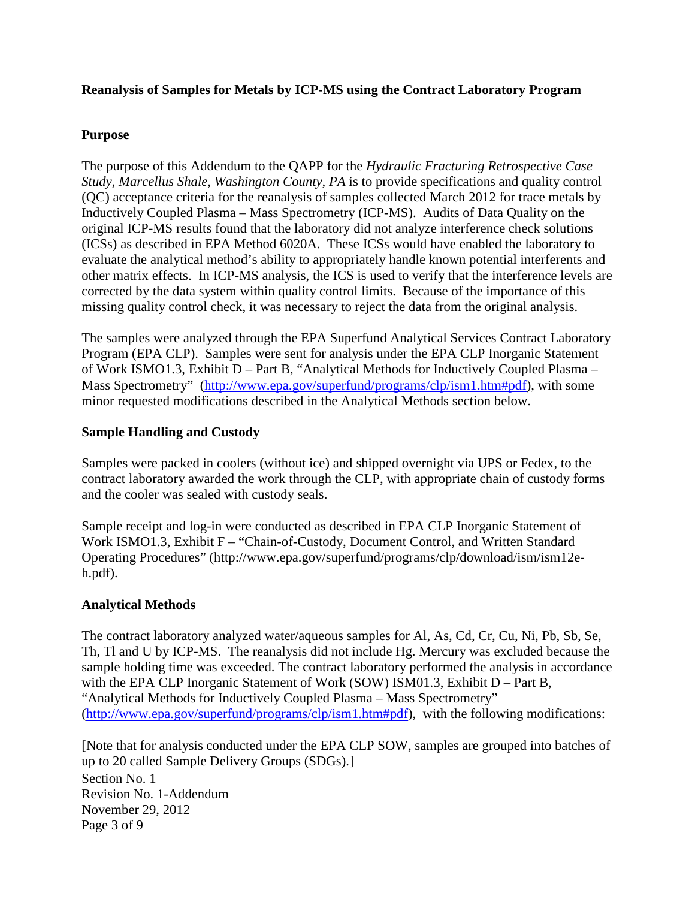#### **Reanalysis of Samples for Metals by ICP-MS using the Contract Laboratory Program**

#### **Purpose**

 The purpose of this Addendum to the QAPP for the *Hydraulic Fracturing Retrospective Case Study, Marcellus Shale, Washington County, PA* is to provide specifications and quality control (QC) acceptance criteria for the reanalysis of samples collected March 2012 for trace metals by Inductively Coupled Plasma – Mass Spectrometry (ICP-MS). Audits of Data Quality on the original ICP-MS results found that the laboratory did not analyze interference check solutions (ICSs) as described in EPA Method 6020A. These ICSs would have enabled the laboratory to evaluate the analytical method's ability to appropriately handle known potential interferents and other matrix effects. In ICP-MS analysis, the ICS is used to verify that the interference levels are corrected by the data system within quality control limits. Because of the importance of this missing quality control check, it was necessary to reject the data from the original analysis.

 The samples were analyzed through the EPA Superfund Analytical Services Contract Laboratory Program (EPA CLP). Samples were sent for analysis under the EPA CLP Inorganic Statement of Work ISMO1.3, Exhibit D – Part B, "Analytical Methods for Inductively Coupled Plasma – Mass Spectrometry" [\(http://www.epa.gov/superfund/programs/clp/ism1.htm#pdf\), wi](http://www.epa.gov/superfund/programs/clp/ism1.htm#pdf)th some minor requested modifications described in the Analytical Methods section below.

#### **Sample Handling and Custody**

 Samples were packed in coolers (without ice) and shipped overnight via UPS or Fedex, to the contract laboratory awarded the work through the CLP, with appropriate chain of custody forms and the cooler was sealed with custody seals.

 Sample receipt and log-in were conducted as described in EPA CLP Inorganic Statement of Work ISMO1.3, Exhibit F – "Chain-of-Custody, Document Control, and Written Standard [Operating Procedures" \(http://www.epa.gov/superfund/programs/clp/download/ism/ism12e](http://www.epa.gov/superfund/programs/clp/download/ism/ism12e-h.pdf)h.[pdf\).](http://www.epa.gov/superfund/programs/clp/download/ism/ism12e-h.pdf) 

#### **Analytical Methods**

 The contract laboratory analyzed water/aqueous samples for Al, As, Cd, Cr, Cu, Ni, Pb, Sb, Se, Th, Tl and U by ICP-MS. The reanalysis did not include Hg. Mercury was excluded because the sample holding time was exceeded. The contract laboratory performed the analysis in accordance with the EPA CLP Inorganic Statement of Work (SOW) ISM01.3, Exhibit D – Part B, "Analytical Methods for Inductively Coupled Plasma – Mass Spectrometry" ([http://www.epa.gov/superfund/programs/clp/ism1.htm#pdf\), w](http://www.epa.gov/superfund/programs/clp/ism1.htm#pdf)ith the following modifications:

 Section No. 1 Revision No. 1-Addendum November 29, 2012 Page 3 of 9 [Note that for analysis conducted under the EPA CLP SOW, samples are grouped into batches of up to 20 called Sample Delivery Groups (SDGs).]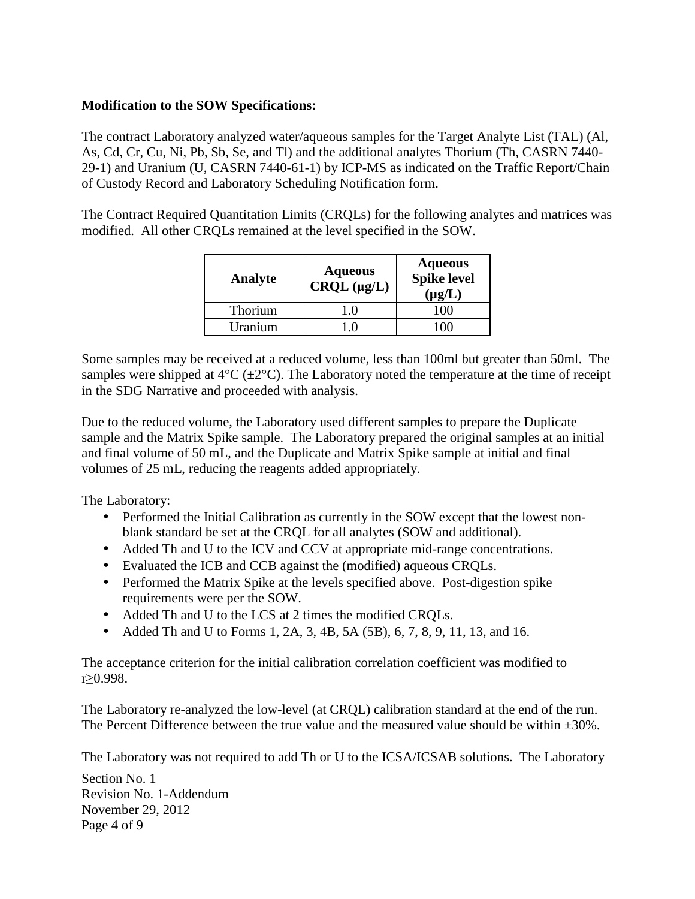### **Modification to the SOW Specifications:**

 The contract Laboratory analyzed water/aqueous samples for the Target Analyte List (TAL) (Al, As, Cd, Cr, Cu, Ni, Pb, Sb, Se, and Tl) and the additional analytes Thorium (Th, CASRN 7440 29-1) and Uranium (U, CASRN 7440-61-1) by ICP-MS as indicated on the Traffic Report/Chain of Custody Record and Laboratory Scheduling Notification form.

 The Contract Required Quantitation Limits (CRQLs) for the following analytes and matrices was modified. All other CRQLs remained at the level specified in the SOW.

| Analyte | <b>Aqueous</b><br>CRQL (µg/L) | <b>Aqueous</b><br>Spike level<br>$(\mu g/L)$ |
|---------|-------------------------------|----------------------------------------------|
| Thorium | - (1                          |                                              |
| Uranium |                               |                                              |

 Some samples may be received at a reduced volume, less than 100ml but greater than 50ml. The samples were shipped at  $4^{\circ}C$  ( $\pm 2^{\circ}C$ ). The Laboratory noted the temperature at the time of receipt in the SDG Narrative and proceeded with analysis.

 Due to the reduced volume, the Laboratory used different samples to prepare the Duplicate sample and the Matrix Spike sample. The Laboratory prepared the original samples at an initial and final volume of 50 mL, and the Duplicate and Matrix Spike sample at initial and final volumes of 25 mL, reducing the reagents added appropriately.

The Laboratory:

- Performed the Initial Calibration as currently in the SOW except that the lowest non-blank standard be set at the CRQL for all analytes (SOW and additional).
- Added Th and U to the ICV and CCV at appropriate mid-range concentrations.
- Evaluated the ICB and CCB against the (modified) aqueous CRQLs.
- Performed the Matrix Spike at the levels specified above. Post-digestion spike requirements were per the SOW.
- Added Th and U to the LCS at 2 times the modified CRQLs.
- Added Th and U to Forms 1, 2A, 3, 4B, 5A (5B), 6, 7, 8, 9, 11, 13, and 16.

 The acceptance criterion for the initial calibration correlation coefficient was modified to r≥0.998.

 The Laboratory re-analyzed the low-level (at CRQL) calibration standard at the end of the run. The Percent Difference between the true value and the measured value should be within  $\pm 30\%$ .

The Laboratory was not required to add Th or U to the ICSA/ICSAB solutions. The Laboratory

 Section No. 1 Revision No. 1-Addendum November 29, 2012 Page 4 of 9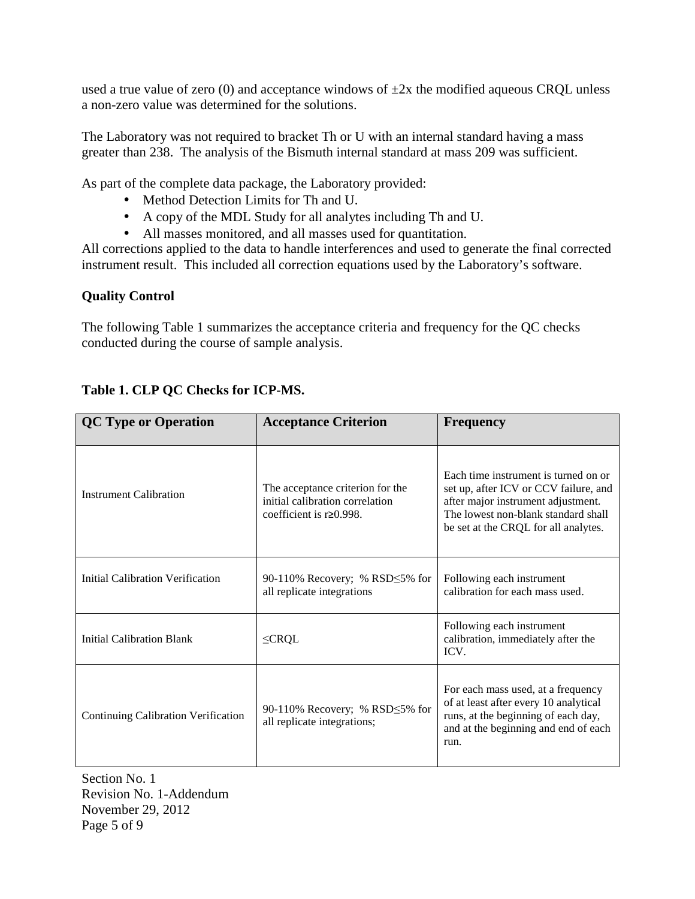used a true value of zero (0) and acceptance windows of  $\pm 2x$  the modified aqueous CRQL unless a non-zero value was determined for the solutions.

 The Laboratory was not required to bracket Th or U with an internal standard having a mass greater than 238. The analysis of the Bismuth internal standard at mass 209 was sufficient.

As part of the complete data package, the Laboratory provided:

- Method Detection Limits for Th and U.
- A copy of the MDL Study for all analytes including Th and U.
- All masses monitored, and all masses used for quantitation.

 All corrections applied to the data to handle interferences and used to generate the final corrected instrument result. This included all correction equations used by the Laboratory's software.

## **Quality Control**

 The following Table 1 summarizes the acceptance criteria and frequency for the QC checks conducted during the course of sample analysis.

| <b>QC Type or Operation</b>         | <b>Acceptance Criterion</b>                                                                           | <b>Frequency</b>                                                                                                                                                                                   |
|-------------------------------------|-------------------------------------------------------------------------------------------------------|----------------------------------------------------------------------------------------------------------------------------------------------------------------------------------------------------|
| <b>Instrument Calibration</b>       | The acceptance criterion for the<br>initial calibration correlation<br>coefficient is $r \ge 0.998$ . | Each time instrument is turned on or<br>set up, after ICV or CCV failure, and<br>after major instrument adjustment.<br>The lowest non-blank standard shall<br>be set at the CRQL for all analytes. |
| Initial Calibration Verification    | 90-110% Recovery; % RSD $\leq$ 5% for<br>all replicate integrations                                   | Following each instrument<br>calibration for each mass used.                                                                                                                                       |
| Initial Calibration Blank           | $\leq$ CRQL                                                                                           | Following each instrument<br>calibration, immediately after the<br>ICV.                                                                                                                            |
| Continuing Calibration Verification | 90-110% Recovery; % RSD 5% for<br>all replicate integrations;                                         | For each mass used, at a frequency<br>of at least after every 10 analytical<br>runs, at the beginning of each day,<br>and at the beginning and end of each<br>run.                                 |

# **Table 1. CLP QC Checks for ICP-MS.**

Section No. 1 Revision No. 1-Addendum November 29, 2012 Page 5 of 9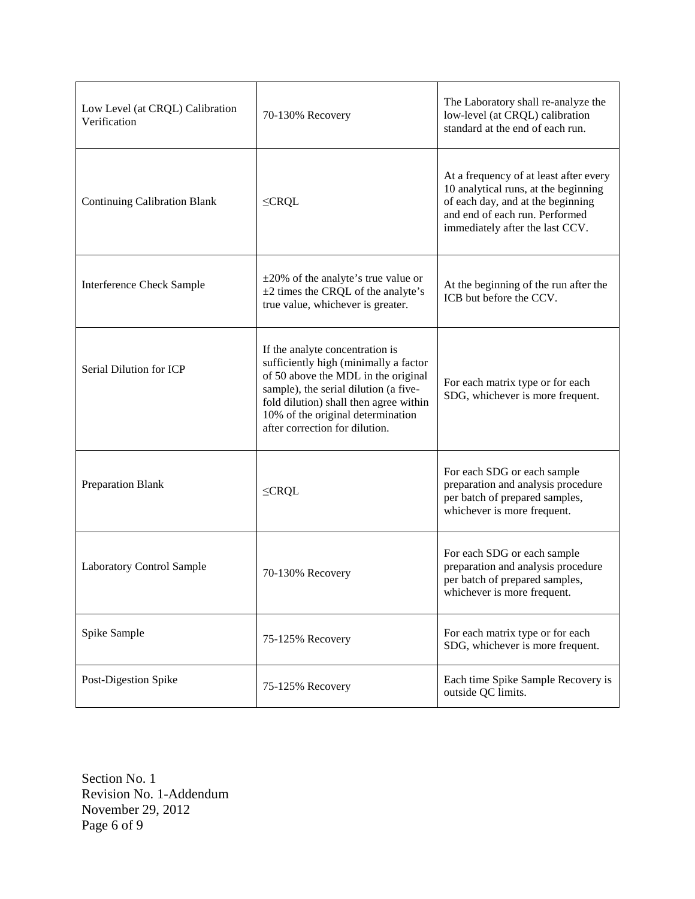| Low Level (at CRQL) Calibration<br>Verification | 70-130% Recovery                                                                                                                                                                                                                                                          | The Laboratory shall re-analyze the<br>low-level (at CRQL) calibration<br>standard at the end of each run.                                                                               |
|-------------------------------------------------|---------------------------------------------------------------------------------------------------------------------------------------------------------------------------------------------------------------------------------------------------------------------------|------------------------------------------------------------------------------------------------------------------------------------------------------------------------------------------|
| <b>Continuing Calibration Blank</b>             | $\leq$ CRQL                                                                                                                                                                                                                                                               | At a frequency of at least after every<br>10 analytical runs, at the beginning<br>of each day, and at the beginning<br>and end of each run. Performed<br>immediately after the last CCV. |
| <b>Interference Check Sample</b>                | $\pm 20\%$ of the analyte's true value or<br>$\pm 2$ times the CRQL of the analyte's<br>true value, whichever is greater.                                                                                                                                                 | At the beginning of the run after the<br>ICB but before the CCV.                                                                                                                         |
| Serial Dilution for ICP                         | If the analyte concentration is<br>sufficiently high (minimally a factor<br>of 50 above the MDL in the original<br>sample), the serial dilution (a five-<br>fold dilution) shall then agree within<br>10% of the original determination<br>after correction for dilution. | For each matrix type or for each<br>SDG, whichever is more frequent.                                                                                                                     |
| <b>Preparation Blank</b>                        | $\leq$ CRQL                                                                                                                                                                                                                                                               | For each SDG or each sample<br>preparation and analysis procedure<br>per batch of prepared samples,<br>whichever is more frequent.                                                       |
| <b>Laboratory Control Sample</b>                | 70-130% Recovery                                                                                                                                                                                                                                                          | For each SDG or each sample<br>preparation and analysis procedure<br>per batch of prepared samples,<br>whichever is more frequent.                                                       |
| Spike Sample                                    | 75-125% Recovery                                                                                                                                                                                                                                                          | For each matrix type or for each<br>SDG, whichever is more frequent.                                                                                                                     |
| Post-Digestion Spike                            | 75-125% Recovery                                                                                                                                                                                                                                                          | Each time Spike Sample Recovery is<br>outside QC limits.                                                                                                                                 |

Section No. 1 Revision No. 1-Addendum November 29, 2012 Page 6 of 9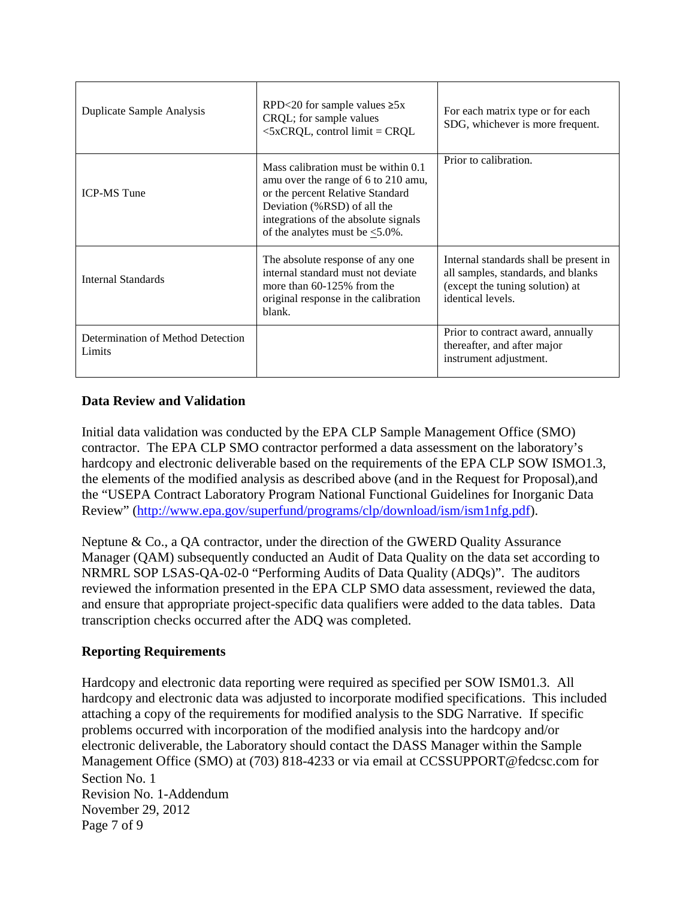| Duplicate Sample Analysis                   | RPD<20 for sample values $\geq 5x$<br>CRQL; for sample values<br>$\leq$ 5xCRQL, control limit = CRQL                                                                                                                            | For each matrix type or for each<br>SDG, whichever is more frequent.                                                                 |
|---------------------------------------------|---------------------------------------------------------------------------------------------------------------------------------------------------------------------------------------------------------------------------------|--------------------------------------------------------------------------------------------------------------------------------------|
| <b>ICP-MS Tune</b>                          | Mass calibration must be within 0.1<br>amu over the range of 6 to 210 amu,<br>or the percent Relative Standard<br>Deviation (%RSD) of all the<br>integrations of the absolute signals<br>of the analytes must be $\leq 5.0\%$ . | Prior to calibration.                                                                                                                |
| Internal Standards                          | The absolute response of any one<br>internal standard must not deviate<br>more than $60-125\%$ from the<br>original response in the calibration<br>blank.                                                                       | Internal standards shall be present in<br>all samples, standards, and blanks<br>(except the tuning solution) at<br>identical levels. |
| Determination of Method Detection<br>Limits |                                                                                                                                                                                                                                 | Prior to contract award, annually<br>thereafter, and after major<br>instrument adjustment.                                           |

#### **Data Review and Validation**

 Initial data validation was conducted by the EPA CLP Sample Management Office (SMO) contractor. The EPA CLP SMO contractor performed a data assessment on the laboratory's hardcopy and electronic deliverable based on the requirements of the EPA CLP SOW ISMO1.3, the elements of the modified analysis as described above (and in the Request for Proposal),and the "USEPA Contract Laboratory Program National Functional Guidelines for Inorganic Data Review" ([http://www.epa.gov/superfund/programs/clp/download/ism/ism1nfg.pdf\).](http://www.epa.gov/superfund/programs/clp/download/ism/ism1nfg.pdf) 

 Neptune & Co., a QA contractor, under the direction of the GWERD Quality Assurance Manager (QAM) subsequently conducted an Audit of Data Quality on the data set according to NRMRL SOP LSAS-QA-02-0 "Performing Audits of Data Quality (ADQs)". The auditors reviewed the information presented in the EPA CLP SMO data assessment, reviewed the data, and ensure that appropriate project-specific data qualifiers were added to the data tables. Data transcription checks occurred after the ADQ was completed.

#### **Reporting Requirements**

 Section No. 1 Revision No. 1-Addendum November 29, 2012 Page 7 of 9 Hardcopy and electronic data reporting were required as specified per SOW ISM01.3. All hardcopy and electronic data was adjusted to incorporate modified specifications. This included attaching a copy of the requirements for modified analysis to the SDG Narrative. If specific problems occurred with incorporation of the modified analysis into the hardcopy and/or electronic deliverable, the Laboratory should contact the DASS Manager within the Sample Management Office (SMO) at (703) 818-4233 or via email at [CCSSUPPORT@fedcsc.com fo](mailto:CCSSUPPORT@fedcsc.com)r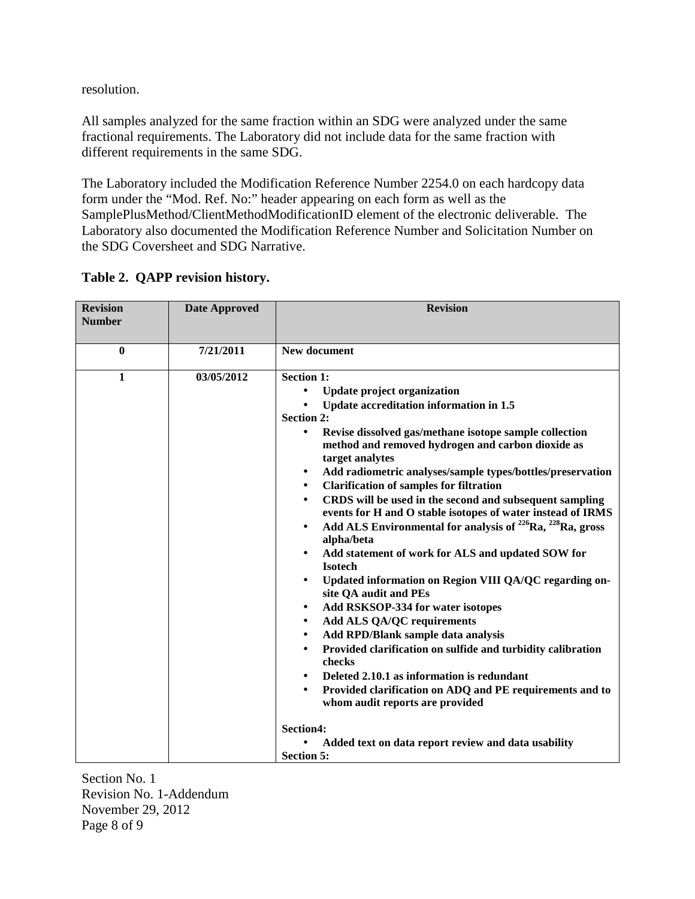resolution.

 All samples analyzed for the same fraction within an SDG were analyzed under the same fractional requirements. The Laboratory did not include data for the same fraction with different requirements in the same SDG.

 The Laboratory included the Modification Reference Number 2254.0 on each hardcopy data form under the "Mod. Ref. No:" header appearing on each form as well as the SamplePlusMethod/ClientMethodModificationID element of the electronic deliverable. The Laboratory also documented the Modification Reference Number and Solicitation Number on the SDG Coversheet and SDG Narrative.

| <b>Revision</b><br><b>Number</b> | <b>Date Approved</b> | <b>Revision</b>                                                                                                                                                                                                                                                                                                                                                                                                                                                                                                                                                                                                                                                                                                                                                                                                                                                                                                                                                                                                                                                                                                                                                                                                                                                                                                                                                               |
|----------------------------------|----------------------|-------------------------------------------------------------------------------------------------------------------------------------------------------------------------------------------------------------------------------------------------------------------------------------------------------------------------------------------------------------------------------------------------------------------------------------------------------------------------------------------------------------------------------------------------------------------------------------------------------------------------------------------------------------------------------------------------------------------------------------------------------------------------------------------------------------------------------------------------------------------------------------------------------------------------------------------------------------------------------------------------------------------------------------------------------------------------------------------------------------------------------------------------------------------------------------------------------------------------------------------------------------------------------------------------------------------------------------------------------------------------------|
|                                  |                      |                                                                                                                                                                                                                                                                                                                                                                                                                                                                                                                                                                                                                                                                                                                                                                                                                                                                                                                                                                                                                                                                                                                                                                                                                                                                                                                                                                               |
| $\mathbf{0}$                     | 7/21/2011            | New document                                                                                                                                                                                                                                                                                                                                                                                                                                                                                                                                                                                                                                                                                                                                                                                                                                                                                                                                                                                                                                                                                                                                                                                                                                                                                                                                                                  |
| 1                                | 03/05/2012           | <b>Section 1:</b><br><b>Update project organization</b><br>$\bullet$<br>Update accreditation information in 1.5<br><b>Section 2:</b><br>Revise dissolved gas/methane isotope sample collection<br>$\bullet$<br>method and removed hydrogen and carbon dioxide as<br>target analytes<br>Add radiometric analyses/sample types/bottles/preservation<br>٠<br><b>Clarification of samples for filtration</b><br>$\bullet$<br>CRDS will be used in the second and subsequent sampling<br>$\bullet$<br>events for H and O stable isotopes of water instead of IRMS<br>Add ALS Environmental for analysis of <sup>226</sup> Ra, <sup>228</sup> Ra, gross<br>$\bullet$<br>alpha/beta<br>Add statement of work for ALS and updated SOW for<br>$\bullet$<br><b>Isotech</b><br>Updated information on Region VIII QA/QC regarding on-<br>$\bullet$<br>site QA audit and PEs<br>Add RSKSOP-334 for water isotopes<br>$\bullet$<br><b>Add ALS QA/QC requirements</b><br>$\bullet$<br>Add RPD/Blank sample data analysis<br>$\bullet$<br>Provided clarification on sulfide and turbidity calibration<br>$\bullet$<br>checks<br>Deleted 2.10.1 as information is redundant<br>$\bullet$<br>Provided clarification on ADQ and PE requirements and to<br>$\bullet$<br>whom audit reports are provided<br>Section4:<br>Added text on data report review and data usability<br><b>Section 5:</b> |

 **Table 2. QAPP revision history.** 

Section No. 1 Revision No. 1-Addendum November 29, 2012 Page 8 of 9